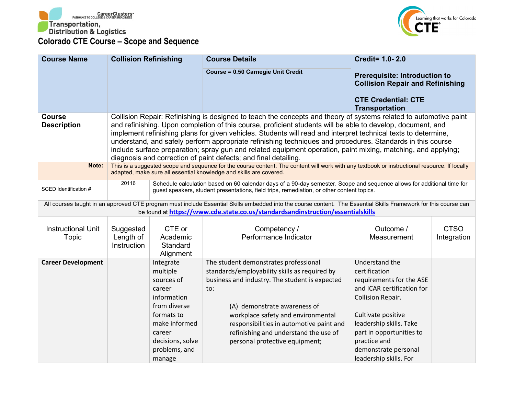



| <b>Course Name</b>                  | <b>Collision Refinishing</b>          |                                                                                                                                                                      | <b>Course Details</b>                                                                                                                                                                                                                                                                                                                                                                                                                                                                                                                                                                                                                                | <b>Credit= 1.0-2.0</b>                                                                                                                                                                                                                                               |                            |
|-------------------------------------|---------------------------------------|----------------------------------------------------------------------------------------------------------------------------------------------------------------------|------------------------------------------------------------------------------------------------------------------------------------------------------------------------------------------------------------------------------------------------------------------------------------------------------------------------------------------------------------------------------------------------------------------------------------------------------------------------------------------------------------------------------------------------------------------------------------------------------------------------------------------------------|----------------------------------------------------------------------------------------------------------------------------------------------------------------------------------------------------------------------------------------------------------------------|----------------------------|
|                                     |                                       |                                                                                                                                                                      | <b>Course = 0.50 Carnegie Unit Credit</b>                                                                                                                                                                                                                                                                                                                                                                                                                                                                                                                                                                                                            | <b>Prerequisite: Introduction to</b><br><b>Collision Repair and Refinishing</b><br><b>CTE Credential: CTE</b><br><b>Transportation</b>                                                                                                                               |                            |
| <b>Course</b><br><b>Description</b> |                                       |                                                                                                                                                                      | Collision Repair: Refinishing is designed to teach the concepts and theory of systems related to automotive paint<br>and refinishing. Upon completion of this course, proficient students will be able to develop, document, and<br>implement refinishing plans for given vehicles. Students will read and interpret technical texts to determine,<br>understand, and safely perform appropriate refinishing techniques and procedures. Standards in this course<br>include surface preparation; spray gun and related equipment operation, paint mixing, matching, and applying;<br>diagnosis and correction of paint defects; and final detailing. |                                                                                                                                                                                                                                                                      |                            |
| Note:                               |                                       |                                                                                                                                                                      | This is a suggested scope and sequence for the course content. The content will work with any textbook or instructional resource. If locally<br>adapted, make sure all essential knowledge and skills are covered.                                                                                                                                                                                                                                                                                                                                                                                                                                   |                                                                                                                                                                                                                                                                      |                            |
| SCED Identification #               | 20116                                 |                                                                                                                                                                      | Schedule calculation based on 60 calendar days of a 90-day semester. Scope and sequence allows for additional time for<br>guest speakers, student presentations, field trips, remediation, or other content topics.                                                                                                                                                                                                                                                                                                                                                                                                                                  |                                                                                                                                                                                                                                                                      |                            |
|                                     |                                       |                                                                                                                                                                      | All courses taught in an approved CTE program must include Essential Skills embedded into the course content. The Essential Skills Framework for this course can<br>be found at https://www.cde.state.co.us/standardsandinstruction/essentialskills                                                                                                                                                                                                                                                                                                                                                                                                  |                                                                                                                                                                                                                                                                      |                            |
| <b>Instructional Unit</b><br>Topic  | Suggested<br>Length of<br>Instruction | CTE or<br>Academic<br>Standard<br>Alignment                                                                                                                          | Competency /<br>Performance Indicator                                                                                                                                                                                                                                                                                                                                                                                                                                                                                                                                                                                                                | Outcome /<br>Measurement                                                                                                                                                                                                                                             | <b>CTSO</b><br>Integration |
| <b>Career Development</b>           |                                       | Integrate<br>multiple<br>sources of<br>career<br>information<br>from diverse<br>formats to<br>make informed<br>career<br>decisions, solve<br>problems, and<br>manage | The student demonstrates professional<br>standards/employability skills as required by<br>business and industry. The student is expected<br>to:<br>(A) demonstrate awareness of<br>workplace safety and environmental<br>responsibilities in automotive paint and<br>refinishing and understand the use of<br>personal protective equipment;                                                                                                                                                                                                                                                                                                         | Understand the<br>certification<br>requirements for the ASE<br>and ICAR certification for<br><b>Collision Repair.</b><br>Cultivate positive<br>leadership skills. Take<br>part in opportunities to<br>practice and<br>demonstrate personal<br>leadership skills. For |                            |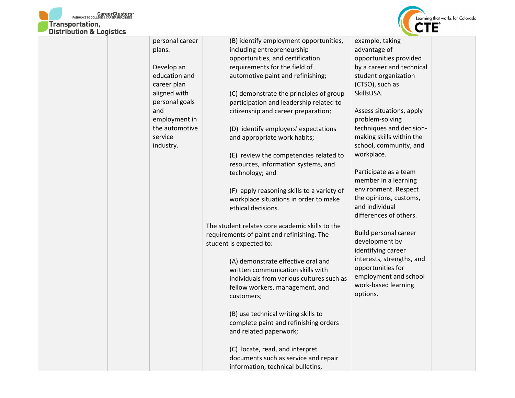



| personal career | (B) identify employment opportunities,          | example, taking           |  |
|-----------------|-------------------------------------------------|---------------------------|--|
| plans.          | including entrepreneurship                      | advantage of              |  |
|                 | opportunities, and certification                | opportunities provided    |  |
| Develop an      | requirements for the field of                   | by a career and technical |  |
| education and   | automotive paint and refinishing;               | student organization      |  |
| career plan     |                                                 | (CTSO), such as           |  |
| aligned with    | (C) demonstrate the principles of group         | SkillsUSA.                |  |
| personal goals  | participation and leadership related to         |                           |  |
| and             | citizenship and career preparation;             | Assess situations, apply  |  |
| employment in   |                                                 | problem-solving           |  |
| the automotive  | (D) identify employers' expectations            | techniques and decision-  |  |
| service         | and appropriate work habits;                    | making skills within the  |  |
| industry.       |                                                 | school, community, and    |  |
|                 | (E) review the competencies related to          | workplace.                |  |
|                 | resources, information systems, and             |                           |  |
|                 | technology; and                                 | Participate as a team     |  |
|                 |                                                 | member in a learning      |  |
|                 | (F) apply reasoning skills to a variety of      | environment. Respect      |  |
|                 | workplace situations in order to make           | the opinions, customs,    |  |
|                 | ethical decisions.                              | and individual            |  |
|                 |                                                 | differences of others.    |  |
|                 | The student relates core academic skills to the |                           |  |
|                 | requirements of paint and refinishing. The      | Build personal career     |  |
|                 | student is expected to:                         | development by            |  |
|                 |                                                 | identifying career        |  |
|                 | (A) demonstrate effective oral and              | interests, strengths, and |  |
|                 | written communication skills with               | opportunities for         |  |
|                 | individuals from various cultures such as       | employment and school     |  |
|                 | fellow workers, management, and                 | work-based learning       |  |
|                 | customers;                                      | options.                  |  |
|                 |                                                 |                           |  |
|                 | (B) use technical writing skills to             |                           |  |
|                 | complete paint and refinishing orders           |                           |  |
|                 | and related paperwork;                          |                           |  |
|                 |                                                 |                           |  |
|                 | (C) locate, read, and interpret                 |                           |  |
|                 | documents such as service and repair            |                           |  |
|                 | information, technical bulletins,               |                           |  |
|                 |                                                 |                           |  |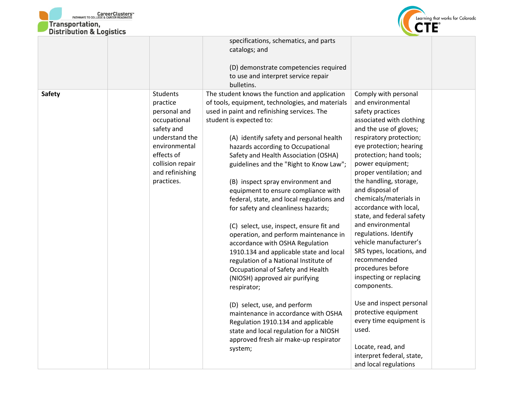



| DISTRIBUTION & LOGISTICS |                                                                                                                                                                          |                                                                                                                                                                                                                                                                                                                                                                                                                                                                                                                                                                                                                                                                                                                                                                                                                                                                                                                                                                                                                              |                                                                                                                                                                                                                                                                                                                                                                                                                                                                                                                                                                                                                                                                                                                |
|--------------------------|--------------------------------------------------------------------------------------------------------------------------------------------------------------------------|------------------------------------------------------------------------------------------------------------------------------------------------------------------------------------------------------------------------------------------------------------------------------------------------------------------------------------------------------------------------------------------------------------------------------------------------------------------------------------------------------------------------------------------------------------------------------------------------------------------------------------------------------------------------------------------------------------------------------------------------------------------------------------------------------------------------------------------------------------------------------------------------------------------------------------------------------------------------------------------------------------------------------|----------------------------------------------------------------------------------------------------------------------------------------------------------------------------------------------------------------------------------------------------------------------------------------------------------------------------------------------------------------------------------------------------------------------------------------------------------------------------------------------------------------------------------------------------------------------------------------------------------------------------------------------------------------------------------------------------------------|
|                          |                                                                                                                                                                          | specifications, schematics, and parts<br>catalogs; and                                                                                                                                                                                                                                                                                                                                                                                                                                                                                                                                                                                                                                                                                                                                                                                                                                                                                                                                                                       |                                                                                                                                                                                                                                                                                                                                                                                                                                                                                                                                                                                                                                                                                                                |
|                          |                                                                                                                                                                          | (D) demonstrate competencies required<br>to use and interpret service repair<br>bulletins.                                                                                                                                                                                                                                                                                                                                                                                                                                                                                                                                                                                                                                                                                                                                                                                                                                                                                                                                   |                                                                                                                                                                                                                                                                                                                                                                                                                                                                                                                                                                                                                                                                                                                |
| Safety                   | Students<br>practice<br>personal and<br>occupational<br>safety and<br>understand the<br>environmental<br>effects of<br>collision repair<br>and refinishing<br>practices. | The student knows the function and application<br>of tools, equipment, technologies, and materials<br>used in paint and refinishing services. The<br>student is expected to:<br>(A) identify safety and personal health<br>hazards according to Occupational<br>Safety and Health Association (OSHA)<br>guidelines and the "Right to Know Law";<br>(B) inspect spray environment and<br>equipment to ensure compliance with<br>federal, state, and local regulations and<br>for safety and cleanliness hazards;<br>(C) select, use, inspect, ensure fit and<br>operation, and perform maintenance in<br>accordance with OSHA Regulation<br>1910.134 and applicable state and local<br>regulation of a National Institute of<br>Occupational of Safety and Health<br>(NIOSH) approved air purifying<br>respirator;<br>(D) select, use, and perform<br>maintenance in accordance with OSHA<br>Regulation 1910.134 and applicable<br>state and local regulation for a NIOSH<br>approved fresh air make-up respirator<br>system; | Comply with personal<br>and environmental<br>safety practices<br>associated with clothing<br>and the use of gloves;<br>respiratory protection;<br>eye protection; hearing<br>protection; hand tools;<br>power equipment;<br>proper ventilation; and<br>the handling, storage,<br>and disposal of<br>chemicals/materials in<br>accordance with local,<br>state, and federal safety<br>and environmental<br>regulations. Identify<br>vehicle manufacturer's<br>SRS types, locations, and<br>recommended<br>procedures before<br>inspecting or replacing<br>components.<br>Use and inspect personal<br>protective equipment<br>every time equipment is<br>used.<br>Locate, read, and<br>interpret federal, state, |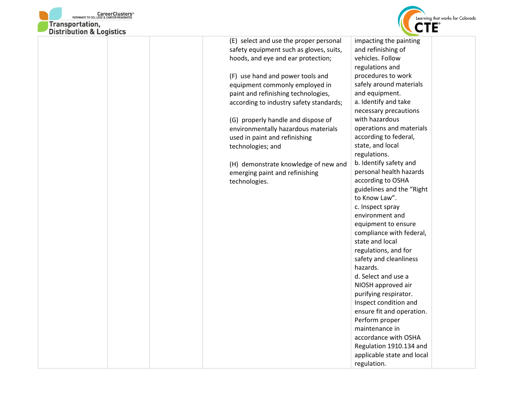



| <b>DISTRIBUTION &amp; LOGISTICS</b> |                                         |                            |  |
|-------------------------------------|-----------------------------------------|----------------------------|--|
|                                     | (E) select and use the proper personal  | impacting the painting     |  |
|                                     | safety equipment such as gloves, suits, | and refinishing of         |  |
|                                     | hoods, and eye and ear protection;      | vehicles. Follow           |  |
|                                     |                                         | regulations and            |  |
|                                     | (F) use hand and power tools and        | procedures to work         |  |
|                                     | equipment commonly employed in          | safely around materials    |  |
|                                     | paint and refinishing technologies,     | and equipment.             |  |
|                                     | according to industry safety standards; | a. Identify and take       |  |
|                                     |                                         | necessary precautions      |  |
|                                     | (G) properly handle and dispose of      | with hazardous             |  |
|                                     | environmentally hazardous materials     | operations and materials   |  |
|                                     | used in paint and refinishing           | according to federal,      |  |
|                                     | technologies; and                       | state, and local           |  |
|                                     |                                         | regulations.               |  |
|                                     | (H) demonstrate knowledge of new and    | b. Identify safety and     |  |
|                                     | emerging paint and refinishing          | personal health hazards    |  |
|                                     | technologies.                           | according to OSHA          |  |
|                                     |                                         | guidelines and the "Right  |  |
|                                     |                                         | to Know Law".              |  |
|                                     |                                         | c. Inspect spray           |  |
|                                     |                                         | environment and            |  |
|                                     |                                         | equipment to ensure        |  |
|                                     |                                         | compliance with federal,   |  |
|                                     |                                         | state and local            |  |
|                                     |                                         | regulations, and for       |  |
|                                     |                                         | safety and cleanliness     |  |
|                                     |                                         | hazards.                   |  |
|                                     |                                         | d. Select and use a        |  |
|                                     |                                         | NIOSH approved air         |  |
|                                     |                                         | purifying respirator.      |  |
|                                     |                                         | Inspect condition and      |  |
|                                     |                                         | ensure fit and operation.  |  |
|                                     |                                         | Perform proper             |  |
|                                     |                                         | maintenance in             |  |
|                                     |                                         | accordance with OSHA       |  |
|                                     |                                         | Regulation 1910.134 and    |  |
|                                     |                                         | applicable state and local |  |
|                                     |                                         | regulation.                |  |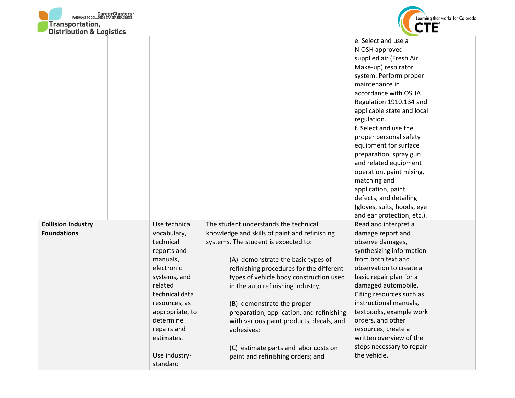| <b>CareerClusters</b> "<br>LEGE & CAREER READINESS<br>PATHWAYS TO COLLEG<br><b>Transportation,</b><br><b>Distribution &amp; Logistics</b> |                                                                                                                                                                                                                                |                                                                                                                                                                                                                                                                                                                                                                                                                                                                                                                     | Learning that works for Colorado<br>CTE®                                                                                                                                                                                                                                                                                                                                                                                                                                                     |
|-------------------------------------------------------------------------------------------------------------------------------------------|--------------------------------------------------------------------------------------------------------------------------------------------------------------------------------------------------------------------------------|---------------------------------------------------------------------------------------------------------------------------------------------------------------------------------------------------------------------------------------------------------------------------------------------------------------------------------------------------------------------------------------------------------------------------------------------------------------------------------------------------------------------|----------------------------------------------------------------------------------------------------------------------------------------------------------------------------------------------------------------------------------------------------------------------------------------------------------------------------------------------------------------------------------------------------------------------------------------------------------------------------------------------|
|                                                                                                                                           |                                                                                                                                                                                                                                |                                                                                                                                                                                                                                                                                                                                                                                                                                                                                                                     | e. Select and use a<br>NIOSH approved<br>supplied air (Fresh Air<br>Make-up) respirator<br>system. Perform proper<br>maintenance in<br>accordance with OSHA<br>Regulation 1910.134 and<br>applicable state and local<br>regulation.<br>f. Select and use the<br>proper personal safety<br>equipment for surface<br>preparation, spray gun<br>and related equipment<br>operation, paint mixing,<br>matching and<br>application, paint<br>defects, and detailing<br>(gloves, suits, hoods, eye |
| <b>Collision Industry</b><br><b>Foundations</b>                                                                                           | Use technical<br>vocabulary,<br>technical<br>reports and<br>manuals,<br>electronic<br>systems, and<br>related<br>technical data<br>resources, as<br>appropriate, to<br>determine<br>repairs and<br>estimates.<br>Use industry- | The student understands the technical<br>knowledge and skills of paint and refinishing<br>systems. The student is expected to:<br>(A) demonstrate the basic types of<br>refinishing procedures for the different<br>types of vehicle body construction used<br>in the auto refinishing industry;<br>(B) demonstrate the proper<br>preparation, application, and refinishing<br>with various paint products, decals, and<br>adhesives;<br>(C) estimate parts and labor costs on<br>paint and refinishing orders; and | and ear protection, etc.).<br>Read and interpret a<br>damage report and<br>observe damages,<br>synthesizing information<br>from both text and<br>observation to create a<br>basic repair plan for a<br>damaged automobile.<br>Citing resources such as<br>instructional manuals,<br>textbooks, example work<br>orders, and other<br>resources, create a<br>written overview of the<br>steps necessary to repair<br>the vehicle.                                                              |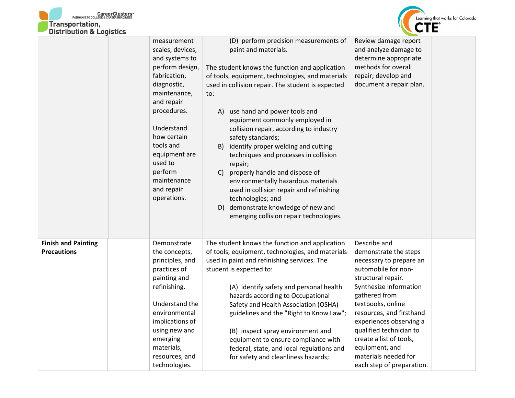



|                                                  | measurement<br>scales, devices,<br>and systems to<br>perform design,<br>fabrication,<br>diagnostic,<br>maintenance,<br>and repair<br>procedures.<br>Understand<br>how certain<br>tools and<br>equipment are<br>used to<br>perform | (D) perform precision measurements of<br>paint and materials.<br>The student knows the function and application<br>of tools, equipment, technologies, and materials<br>used in collision repair. The student is expected<br>to:<br>use hand and power tools and<br>A)<br>equipment commonly employed in<br>collision repair, according to industry<br>safety standards;<br>identify proper welding and cutting<br>B)<br>techniques and processes in collision<br>repair;<br>properly handle and dispose of<br>C) | Review damage report<br>and analyze damage to<br>determine appropriate<br>methods for overall<br>repair; develop and<br>document a repair plan.                                                                                                                                                                                      |  |
|--------------------------------------------------|-----------------------------------------------------------------------------------------------------------------------------------------------------------------------------------------------------------------------------------|------------------------------------------------------------------------------------------------------------------------------------------------------------------------------------------------------------------------------------------------------------------------------------------------------------------------------------------------------------------------------------------------------------------------------------------------------------------------------------------------------------------|--------------------------------------------------------------------------------------------------------------------------------------------------------------------------------------------------------------------------------------------------------------------------------------------------------------------------------------|--|
|                                                  | maintenance<br>and repair<br>operations.                                                                                                                                                                                          | environmentally hazardous materials<br>used in collision repair and refinishing<br>technologies; and<br>demonstrate knowledge of new and<br>D)<br>emerging collision repair technologies.                                                                                                                                                                                                                                                                                                                        |                                                                                                                                                                                                                                                                                                                                      |  |
| <b>Finish and Painting</b><br><b>Precautions</b> | Demonstrate<br>the concepts,<br>principles, and<br>practices of<br>painting and<br>refinishing.<br>Understand the<br>environmental<br>implications of<br>using new and<br>emerging<br>materials,<br>resources, and                | The student knows the function and application<br>of tools, equipment, technologies, and materials<br>used in paint and refinishing services. The<br>student is expected to:<br>(A) identify safety and personal health<br>hazards according to Occupational<br>Safety and Health Association (OSHA)<br>guidelines and the "Right to Know Law";<br>(B) inspect spray environment and<br>equipment to ensure compliance with<br>federal, state, and local regulations and                                         | Describe and<br>demonstrate the steps<br>necessary to prepare an<br>automobile for non-<br>structural repair.<br>Synthesize information<br>gathered from<br>textbooks, online<br>resources, and firsthand<br>experiences observing a<br>qualified technician to<br>create a list of tools,<br>equipment, and<br>materials needed for |  |
|                                                  | technologies.                                                                                                                                                                                                                     | for safety and cleanliness hazards;                                                                                                                                                                                                                                                                                                                                                                                                                                                                              | each step of preparation.                                                                                                                                                                                                                                                                                                            |  |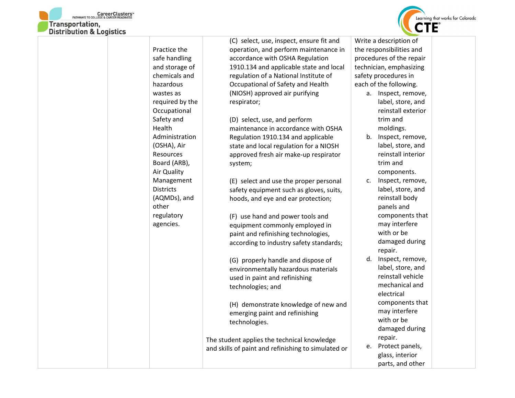



|                  | (C) select, use, inspect, ensure fit and            | Write a description of   |
|------------------|-----------------------------------------------------|--------------------------|
| Practice the     | operation, and perform maintenance in               | the responsibilities and |
| safe handling    | accordance with OSHA Regulation                     | procedures of the repair |
| and storage of   | 1910.134 and applicable state and local             | technician, emphasizing  |
| chemicals and    | regulation of a National Institute of               | safety procedures in     |
| hazardous        | Occupational of Safety and Health                   | each of the following.   |
| wastes as        | (NIOSH) approved air purifying                      | a. Inspect, remove,      |
| required by the  | respirator;                                         | label, store, and        |
| Occupational     |                                                     | reinstall exterior       |
| Safety and       | (D) select, use, and perform                        | trim and                 |
| Health           | maintenance in accordance with OSHA                 | moldings.                |
| Administration   | Regulation 1910.134 and applicable                  | b. Inspect, remove,      |
| (OSHA), Air      | state and local regulation for a NIOSH              | label, store, and        |
| Resources        | approved fresh air make-up respirator               | reinstall interior       |
| Board (ARB),     | system;                                             | trim and                 |
| Air Quality      |                                                     | components.              |
| Management       | (E) select and use the proper personal              | Inspect, remove,<br>c.   |
| <b>Districts</b> | safety equipment such as gloves, suits,             | label, store, and        |
| (AQMDs), and     | hoods, and eye and ear protection;                  | reinstall body           |
| other            |                                                     | panels and               |
| regulatory       | (F) use hand and power tools and                    | components that          |
| agencies.        | equipment commonly employed in                      | may interfere            |
|                  | paint and refinishing technologies,                 | with or be               |
|                  | according to industry safety standards;             | damaged during           |
|                  |                                                     | repair.                  |
|                  | (G) properly handle and dispose of                  | d. Inspect, remove,      |
|                  | environmentally hazardous materials                 | label, store, and        |
|                  | used in paint and refinishing                       | reinstall vehicle        |
|                  | technologies; and                                   | mechanical and           |
|                  |                                                     | electrical               |
|                  | (H) demonstrate knowledge of new and                | components that          |
|                  | emerging paint and refinishing                      | may interfere            |
|                  | technologies.                                       | with or be               |
|                  |                                                     | damaged during           |
|                  | The student applies the technical knowledge         | repair.                  |
|                  | and skills of paint and refinishing to simulated or | e. Protect panels,       |
|                  |                                                     | glass, interior          |
|                  |                                                     | parts, and other         |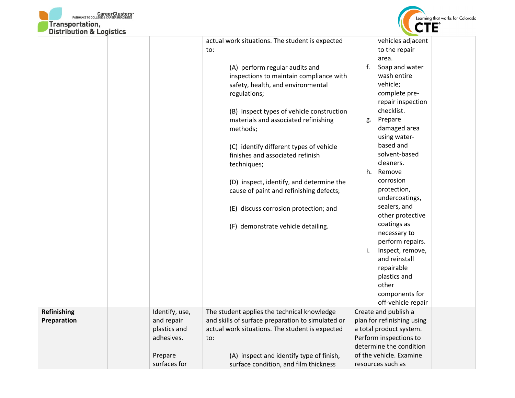



| DISTRIBUTION & LOGISTICS |                                          |                                                                                                                                |                                                                                                            |
|--------------------------|------------------------------------------|--------------------------------------------------------------------------------------------------------------------------------|------------------------------------------------------------------------------------------------------------|
|                          |                                          | actual work situations. The student is expected<br>to:                                                                         | vehicles adjacent<br>to the repair<br>area.                                                                |
|                          |                                          | (A) perform regular audits and<br>inspections to maintain compliance with<br>safety, health, and environmental<br>regulations; | $f_{\rm{r}}$<br>Soap and water<br>wash entire<br>vehicle;<br>complete pre-<br>repair inspection            |
|                          |                                          | (B) inspect types of vehicle construction<br>materials and associated refinishing<br>methods;                                  | checklist.<br>Prepare<br>g.<br>damaged area<br>using water-                                                |
|                          |                                          | (C) identify different types of vehicle<br>finishes and associated refinish<br>techniques;                                     | based and<br>solvent-based<br>cleaners.                                                                    |
|                          |                                          | (D) inspect, identify, and determine the<br>cause of paint and refinishing defects;                                            | h.<br>Remove<br>corrosion<br>protection,<br>undercoatings,                                                 |
|                          |                                          | (E) discuss corrosion protection; and                                                                                          | sealers, and<br>other protective<br>coatings as                                                            |
|                          |                                          | (F) demonstrate vehicle detailing.                                                                                             | necessary to<br>perform repairs.                                                                           |
|                          |                                          |                                                                                                                                | Inspect, remove,<br>i.<br>and reinstall<br>repairable<br>plastics and                                      |
|                          |                                          |                                                                                                                                | other<br>components for<br>off-vehicle repair                                                              |
| Refinishing              | Identify, use,                           | The student applies the technical knowledge                                                                                    | Create and publish a                                                                                       |
| Preparation              | and repair<br>plastics and<br>adhesives. | and skills of surface preparation to simulated or<br>actual work situations. The student is expected<br>to:                    | plan for refinishing using<br>a total product system.<br>Perform inspections to<br>determine the condition |
|                          | Prepare                                  | (A) inspect and identify type of finish,                                                                                       | of the vehicle. Examine                                                                                    |
|                          | surfaces for                             | surface condition, and film thickness                                                                                          | resources such as                                                                                          |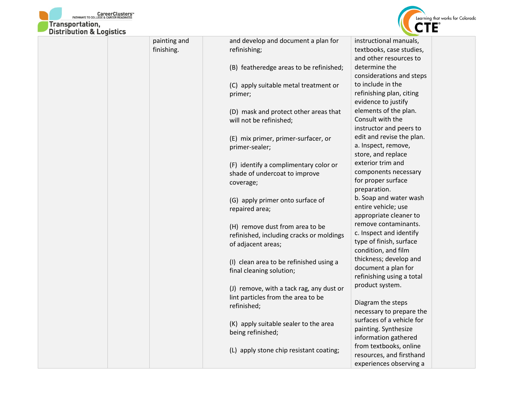



|  | painting and | and develop and document a plan for      | instructional manuals,    |
|--|--------------|------------------------------------------|---------------------------|
|  | finishing.   | refinishing;                             | textbooks, case studies,  |
|  |              |                                          | and other resources to    |
|  |              | (B) featheredge areas to be refinished;  | determine the             |
|  |              |                                          | considerations and steps  |
|  |              | (C) apply suitable metal treatment or    | to include in the         |
|  |              | primer;                                  | refinishing plan, citing  |
|  |              |                                          | evidence to justify       |
|  |              | (D) mask and protect other areas that    | elements of the plan.     |
|  |              | will not be refinished;                  | Consult with the          |
|  |              |                                          | instructor and peers to   |
|  |              | (E) mix primer, primer-surfacer, or      | edit and revise the plan. |
|  |              | primer-sealer;                           | a. Inspect, remove,       |
|  |              |                                          | store, and replace        |
|  |              | (F) identify a complimentary color or    | exterior trim and         |
|  |              | shade of undercoat to improve            | components necessary      |
|  |              | coverage;                                | for proper surface        |
|  |              |                                          | preparation.              |
|  |              | (G) apply primer onto surface of         | b. Soap and water wash    |
|  |              | repaired area;                           | entire vehicle; use       |
|  |              |                                          | appropriate cleaner to    |
|  |              | (H) remove dust from area to be          | remove contaminants.      |
|  |              | refinished, including cracks or moldings | c. Inspect and identify   |
|  |              | of adjacent areas;                       | type of finish, surface   |
|  |              |                                          | condition, and film       |
|  |              | (I) clean area to be refinished using a  | thickness; develop and    |
|  |              | final cleaning solution;                 | document a plan for       |
|  |              |                                          | refinishing using a total |
|  |              | (J) remove, with a tack rag, any dust or | product system.           |
|  |              | lint particles from the area to be       |                           |
|  |              | refinished;                              | Diagram the steps         |
|  |              |                                          | necessary to prepare the  |
|  |              | (K) apply suitable sealer to the area    | surfaces of a vehicle for |
|  |              | being refinished;                        | painting. Synthesize      |
|  |              |                                          | information gathered      |
|  |              | (L) apply stone chip resistant coating;  | from textbooks, online    |
|  |              |                                          | resources, and firsthand  |
|  |              |                                          | experiences observing a   |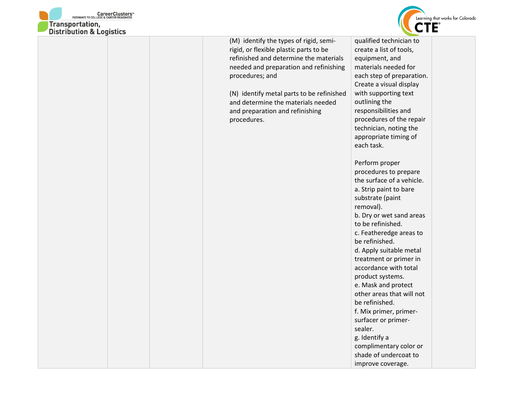



rigid, or flexible plastic parts to be refinished and determine the materials needed and preparation and refinishing procedures; and

(N) identify metal parts to be refinished and determine the materials needed and preparation and refinishing procedures.

qualified technician to create a list of tools, equipment, and materials needed for each step of preparation. Create a visual display with supporting text outlining the responsibilities and procedures of the repair technician, noting the appropriate timing of each task.

Perform proper procedures to prepare the surface of a vehicle. a. Strip paint to bare substrate (paint removal). b. Dry or wet sand areas to be refinished. c. Featheredge areas to be refinished. d. Apply suitable metal treatment or primer in accordance with total product systems. e. Mask and protect other areas that will not be refinished. f. Mix primer, primersurfacer or primersealer. g. Identify a complimentary color or shade of undercoat to improve coverage.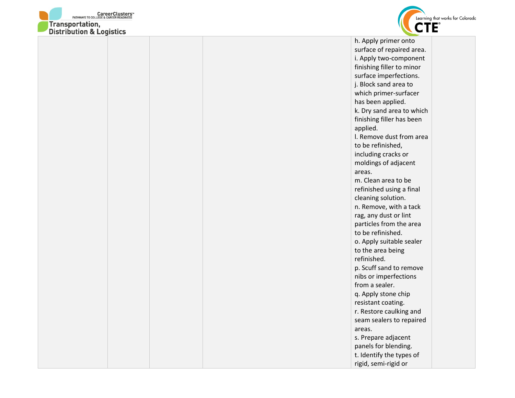



surface of repaired area. i. Apply two-component finishing filler to minor surface imperfections. j. Block sand area to which primer-surfacer has been applied. k. Dry sand area to which finishing filler has been applied. l. Remove dust from area to be refinished, including cracks or moldings of adjacent areas. m. Clean area to be refinished using a final cleaning solution. n. Remove, with a tack rag, any dust or lint particles from the area to be refinished. o. Apply suitable sealer to the area being refinished. p. Scuff sand to remove nibs or imperfections from a sealer. q. Apply stone chip resistant coating. r. Restore caulking and seam sealers to repaired areas. s. Prepare adjacent panels for blending. t. Identify the types of rigid, semi-rigid or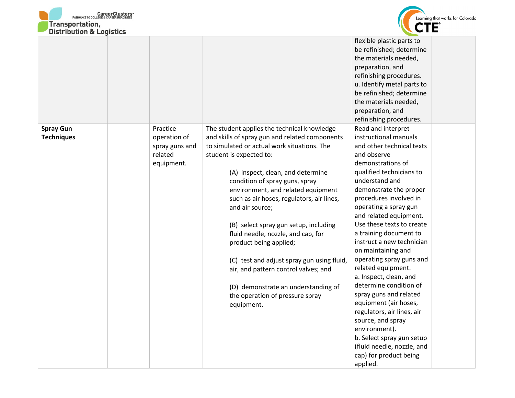



| <b>DISTRIBUTION &amp; LOGISTICS</b>   |                                                                     |                                                                                                                                                                                                                                                                                                                                                                                                                                                                                                                                                                                                                                             | flexible plastic parts to<br>be refinished; determine<br>the materials needed,<br>preparation, and<br>refinishing procedures.<br>u. Identify metal parts to<br>be refinished; determine<br>the materials needed,<br>preparation, and<br>refinishing procedures.                                                                                                                                                                                                                                                                                                                                                                                                                               |
|---------------------------------------|---------------------------------------------------------------------|---------------------------------------------------------------------------------------------------------------------------------------------------------------------------------------------------------------------------------------------------------------------------------------------------------------------------------------------------------------------------------------------------------------------------------------------------------------------------------------------------------------------------------------------------------------------------------------------------------------------------------------------|-----------------------------------------------------------------------------------------------------------------------------------------------------------------------------------------------------------------------------------------------------------------------------------------------------------------------------------------------------------------------------------------------------------------------------------------------------------------------------------------------------------------------------------------------------------------------------------------------------------------------------------------------------------------------------------------------|
| <b>Spray Gun</b><br><b>Techniques</b> | Practice<br>operation of<br>spray guns and<br>related<br>equipment. | The student applies the technical knowledge<br>and skills of spray gun and related components<br>to simulated or actual work situations. The<br>student is expected to:<br>(A) inspect, clean, and determine<br>condition of spray guns, spray<br>environment, and related equipment<br>such as air hoses, regulators, air lines,<br>and air source;<br>(B) select spray gun setup, including<br>fluid needle, nozzle, and cap, for<br>product being applied;<br>(C) test and adjust spray gun using fluid,<br>air, and pattern control valves; and<br>(D) demonstrate an understanding of<br>the operation of pressure spray<br>equipment. | Read and interpret<br>instructional manuals<br>and other technical texts<br>and observe<br>demonstrations of<br>qualified technicians to<br>understand and<br>demonstrate the proper<br>procedures involved in<br>operating a spray gun<br>and related equipment.<br>Use these texts to create<br>a training document to<br>instruct a new technician<br>on maintaining and<br>operating spray guns and<br>related equipment.<br>a. Inspect, clean, and<br>determine condition of<br>spray guns and related<br>equipment (air hoses,<br>regulators, air lines, air<br>source, and spray<br>environment).<br>b. Select spray gun setup<br>(fluid needle, nozzle, and<br>cap) for product being |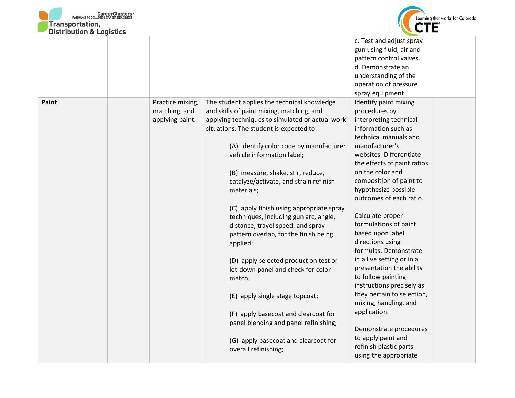



| DISTRIBUTION & LOUISTICS |                  |                                                              |                                              |
|--------------------------|------------------|--------------------------------------------------------------|----------------------------------------------|
|                          |                  |                                                              | c. Test and adjust spray                     |
|                          |                  |                                                              | gun using fluid, air and                     |
|                          |                  |                                                              | pattern control valves.                      |
|                          |                  |                                                              | d. Demonstrate an                            |
|                          |                  |                                                              | understanding of the                         |
|                          |                  |                                                              | operation of pressure                        |
|                          |                  |                                                              | spray equipment.                             |
| Paint                    | Practice mixing, | The student applies the technical knowledge                  | Identify paint mixing                        |
|                          | matching, and    | and skills of paint mixing, matching, and                    | procedures by                                |
|                          | applying paint.  | applying techniques to simulated or actual work              | interpreting technical                       |
|                          |                  | situations. The student is expected to:                      | information such as                          |
|                          |                  |                                                              | technical manuals and                        |
|                          |                  | (A) identify color code by manufacturer                      | manufacturer's                               |
|                          |                  | vehicle information label;                                   | websites. Differentiate                      |
|                          |                  |                                                              | the effects of paint ratios                  |
|                          |                  | (B) measure, shake, stir, reduce,                            | on the color and                             |
|                          |                  | catalyze/activate, and strain refinish                       | composition of paint to                      |
|                          |                  | materials;                                                   | hypothesize possible                         |
|                          |                  |                                                              | outcomes of each ratio.                      |
|                          |                  | (C) apply finish using appropriate spray                     |                                              |
|                          |                  | techniques, including gun arc, angle,                        | Calculate proper                             |
|                          |                  | distance, travel speed, and spray                            | formulations of paint                        |
|                          |                  | pattern overlap, for the finish being                        | based upon label                             |
|                          |                  | applied;                                                     | directions using                             |
|                          |                  |                                                              | formulas. Demonstrate                        |
|                          |                  | (D) apply selected product on test or                        | in a live setting or in a                    |
|                          |                  | let-down panel and check for color                           | presentation the ability                     |
|                          |                  | match;                                                       | to follow painting                           |
|                          |                  |                                                              | instructions precisely as                    |
|                          |                  | (E) apply single stage topcoat;                              | they pertain to selection,                   |
|                          |                  |                                                              | mixing, handling, and                        |
|                          |                  |                                                              |                                              |
|                          |                  |                                                              |                                              |
|                          |                  | (F) apply basecoat and clearcoat for                         | application.                                 |
|                          |                  | panel blending and panel refinishing;                        |                                              |
|                          |                  |                                                              | Demonstrate procedures                       |
|                          |                  | (G) apply basecoat and clearcoat for<br>overall refinishing; | to apply paint and<br>refinish plastic parts |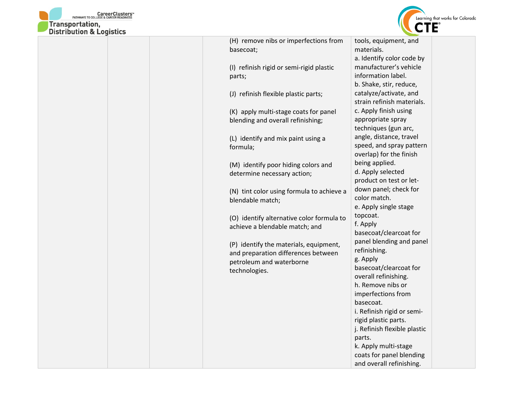



| DISTRIBUTION & LOGISTICS |                                                               |                                 |
|--------------------------|---------------------------------------------------------------|---------------------------------|
|                          | (H) remove nibs or imperfections from                         | tools, equipment, and           |
|                          | basecoat;                                                     | materials.                      |
|                          |                                                               | a. Identify color code by       |
|                          | (I) refinish rigid or semi-rigid plastic                      | manufacturer's vehicle          |
|                          | parts;                                                        | information label.              |
|                          |                                                               | b. Shake, stir, reduce,         |
|                          | (J) refinish flexible plastic parts;                          | catalyze/activate, and          |
|                          |                                                               | strain refinish materials.      |
|                          | (K) apply multi-stage coats for panel                         | c. Apply finish using           |
|                          | blending and overall refinishing;                             | appropriate spray               |
|                          |                                                               | techniques (gun arc,            |
|                          | (L) identify and mix paint using a                            | angle, distance, travel         |
|                          | formula;                                                      | speed, and spray pattern        |
|                          |                                                               | overlap) for the finish         |
|                          | (M) identify poor hiding colors and                           | being applied.                  |
|                          | determine necessary action;                                   | d. Apply selected               |
|                          |                                                               | product on test or let-         |
|                          |                                                               | down panel; check for           |
|                          | (N) tint color using formula to achieve a<br>blendable match; | color match.                    |
|                          |                                                               | e. Apply single stage           |
|                          |                                                               | topcoat.                        |
|                          | (O) identify alternative color formula to                     | f. Apply                        |
|                          | achieve a blendable match; and                                | basecoat/clearcoat for          |
|                          |                                                               | panel blending and panel        |
|                          | (P) identify the materials, equipment,                        | refinishing.                    |
|                          | and preparation differences between                           | g. Apply                        |
|                          | petroleum and waterborne                                      | basecoat/clearcoat for          |
|                          | technologies.                                                 | overall refinishing.            |
|                          |                                                               | h. Remove nibs or               |
|                          |                                                               |                                 |
|                          |                                                               | imperfections from<br>basecoat. |
|                          |                                                               |                                 |
|                          |                                                               | i. Refinish rigid or semi-      |
|                          |                                                               | rigid plastic parts.            |
|                          |                                                               | j. Refinish flexible plastic    |
|                          |                                                               | parts.                          |
|                          |                                                               | k. Apply multi-stage            |
|                          |                                                               | coats for panel blending        |
|                          |                                                               | and overall refinishing.        |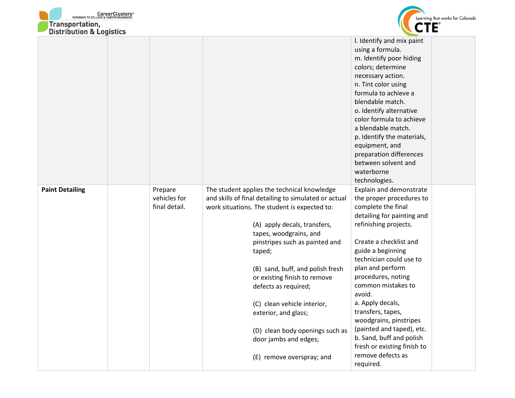



| <b>DISTRIBUTION &amp; LOGISTICS</b> |                                          |                                                                                                                                                                                                                                                                                                                                                                                                                                                                          |                                                                                                                                                                                                                                                                                                                                                                                                                                                                  |
|-------------------------------------|------------------------------------------|--------------------------------------------------------------------------------------------------------------------------------------------------------------------------------------------------------------------------------------------------------------------------------------------------------------------------------------------------------------------------------------------------------------------------------------------------------------------------|------------------------------------------------------------------------------------------------------------------------------------------------------------------------------------------------------------------------------------------------------------------------------------------------------------------------------------------------------------------------------------------------------------------------------------------------------------------|
|                                     |                                          |                                                                                                                                                                                                                                                                                                                                                                                                                                                                          | I. Identify and mix paint<br>using a formula.<br>m. Identify poor hiding<br>colors; determine<br>necessary action.<br>n. Tint color using<br>formula to achieve a<br>blendable match.<br>o. Identify alternative<br>color formula to achieve<br>a blendable match.<br>p. Identify the materials,<br>equipment, and<br>preparation differences<br>between solvent and<br>waterborne                                                                               |
| <b>Paint Detailing</b>              | Prepare<br>vehicles for<br>final detail. | The student applies the technical knowledge<br>and skills of final detailing to simulated or actual<br>work situations. The student is expected to:<br>(A) apply decals, transfers,<br>tapes, woodgrains, and<br>pinstripes such as painted and<br>taped;<br>(B) sand, buff, and polish fresh<br>or existing finish to remove<br>defects as required;<br>(C) clean vehicle interior,<br>exterior, and glass;<br>(D) clean body openings such as<br>door jambs and edges; | technologies.<br>Explain and demonstrate<br>the proper procedures to<br>complete the final<br>detailing for painting and<br>refinishing projects.<br>Create a checklist and<br>guide a beginning<br>technician could use to<br>plan and perform<br>procedures, noting<br>common mistakes to<br>avoid.<br>a. Apply decals,<br>transfers, tapes,<br>woodgrains, pinstripes<br>(painted and taped), etc.<br>b. Sand, buff and polish<br>fresh or existing finish to |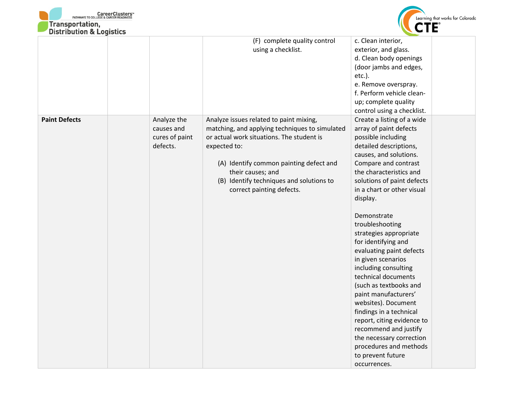



| (F) complete quality control<br>c. Clean interior,<br>using a checklist.<br>exterior, and glass.<br>d. Clean body openings<br>(door jambs and edges,<br>$etc.$ ).<br>e. Remove overspray.<br>f. Perform vehicle clean-<br>up; complete quality<br>control using a checklist.<br><b>Paint Defects</b><br>Create a listing of a wide<br>Analyze the<br>Analyze issues related to paint mixing,<br>array of paint defects<br>causes and<br>matching, and applying techniques to simulated<br>cures of paint<br>or actual work situations. The student is<br>possible including<br>defects.<br>expected to:<br>detailed descriptions,<br>causes, and solutions.<br>Compare and contrast<br>(A) Identify common painting defect and<br>their causes; and<br>the characteristics and | <b>DISTRIBUTION &amp; LOGISTICS</b> |                                          |                            |
|--------------------------------------------------------------------------------------------------------------------------------------------------------------------------------------------------------------------------------------------------------------------------------------------------------------------------------------------------------------------------------------------------------------------------------------------------------------------------------------------------------------------------------------------------------------------------------------------------------------------------------------------------------------------------------------------------------------------------------------------------------------------------------|-------------------------------------|------------------------------------------|----------------------------|
|                                                                                                                                                                                                                                                                                                                                                                                                                                                                                                                                                                                                                                                                                                                                                                                |                                     |                                          |                            |
| correct painting defects.<br>in a chart or other visual<br>display.<br>Demonstrate<br>troubleshooting<br>strategies appropriate<br>for identifying and<br>evaluating paint defects<br>in given scenarios<br>including consulting<br>technical documents<br>(such as textbooks and<br>paint manufacturers'<br>websites). Document<br>findings in a technical<br>report, citing evidence to<br>recommend and justify<br>the necessary correction<br>procedures and methods<br>to prevent future                                                                                                                                                                                                                                                                                  |                                     | (B) Identify techniques and solutions to | solutions of paint defects |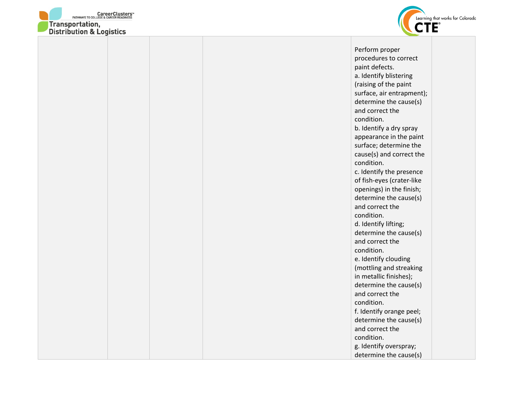



Perform proper procedures to correct paint defects. a. Identify blistering (raising of the paint surface, air entrapment); determine the cause(s) and correct the condition. b. Identify a dry spray appearance in the paint surface; determine the cause(s) and correct the condition. c. Identify the presence of fish-eyes (crater-like openings) in the finish; determine the cause(s) and correct the condition. d. Identify lifting; determine the cause(s) and correct the condition. e. Identify clouding (mottling and streaking in metallic finishes); determine the cause(s) and correct the condition. f. Identify orange peel; determine the cause(s) and correct the condition. g. Identify overspray; determine the cause(s)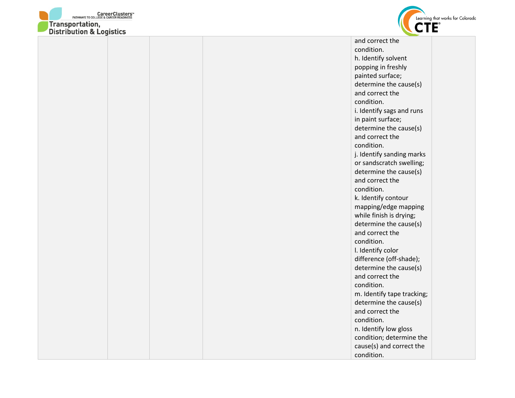



| and correct the            |
|----------------------------|
| condition.                 |
| h. Identify solvent        |
| popping in freshly         |
| painted surface;           |
| determine the cause(s)     |
| and correct the            |
| condition.                 |
| i. Identify sags and runs  |
| in paint surface;          |
| determine the cause(s)     |
| and correct the            |
| condition.                 |
| j. Identify sanding marks  |
| or sandscratch swelling;   |
| determine the cause(s)     |
| and correct the            |
| condition.                 |
| k. Identify contour        |
| mapping/edge mapping       |
| while finish is drying;    |
| determine the cause(s)     |
| and correct the            |
| condition.                 |
| I. Identify color          |
| difference (off-shade);    |
| determine the cause(s)     |
| and correct the            |
| condition.                 |
| m. Identify tape tracking; |
| determine the cause(s)     |
| and correct the            |
| condition.                 |
| n. Identify low gloss      |
| condition; determine the   |
| cause(s) and correct the   |
| condition.                 |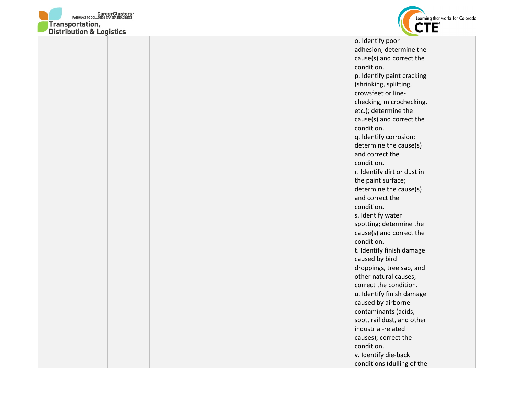



adhesion; determine the cause(s) and correct the condition. p. Identify paint cracking (shrinking, splitting, crowsfeet or linechecking, microchecking, etc.); determine the cause(s) and correct the condition. q. Identify corrosion; determine the cause(s) and correct the condition. r. Identify dirt or dust in the paint surface; determine the cause(s) and correct the condition. s. Identify water spotting; determine the cause(s) and correct the condition. t. Identify finish damage caused by bird droppings, tree sap, and other natural causes; correct the condition. u. Identify finish damage caused by airborne contaminants (acids, soot, rail dust, and other industrial-related causes); correct the condition. v. Identify die-back conditions (dulling of the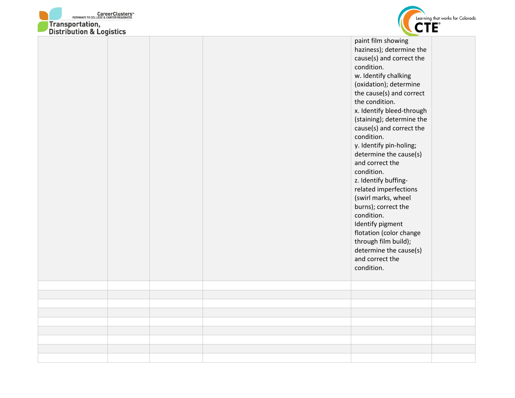



| DISTRIBUTION & LOGISTICS |  |                                                                                                                                                                                                                                                                                                                                                                                                                                                                                                                                                                                                                                   |  |
|--------------------------|--|-----------------------------------------------------------------------------------------------------------------------------------------------------------------------------------------------------------------------------------------------------------------------------------------------------------------------------------------------------------------------------------------------------------------------------------------------------------------------------------------------------------------------------------------------------------------------------------------------------------------------------------|--|
|                          |  | paint film showing<br>haziness); determine the<br>cause(s) and correct the<br>condition.<br>w. Identify chalking<br>(oxidation); determine<br>the cause(s) and correct<br>the condition.<br>x. Identify bleed-through<br>(staining); determine the<br>cause(s) and correct the<br>condition.<br>y. Identify pin-holing;<br>determine the cause(s)<br>and correct the<br>condition.<br>z. Identify buffing-<br>related imperfections<br>(swirl marks, wheel<br>burns); correct the<br>condition.<br>Identify pigment<br>flotation (color change<br>through film build);<br>determine the cause(s)<br>and correct the<br>condition. |  |
|                          |  |                                                                                                                                                                                                                                                                                                                                                                                                                                                                                                                                                                                                                                   |  |
|                          |  |                                                                                                                                                                                                                                                                                                                                                                                                                                                                                                                                                                                                                                   |  |
|                          |  |                                                                                                                                                                                                                                                                                                                                                                                                                                                                                                                                                                                                                                   |  |
|                          |  |                                                                                                                                                                                                                                                                                                                                                                                                                                                                                                                                                                                                                                   |  |
|                          |  |                                                                                                                                                                                                                                                                                                                                                                                                                                                                                                                                                                                                                                   |  |
|                          |  |                                                                                                                                                                                                                                                                                                                                                                                                                                                                                                                                                                                                                                   |  |
|                          |  |                                                                                                                                                                                                                                                                                                                                                                                                                                                                                                                                                                                                                                   |  |
|                          |  |                                                                                                                                                                                                                                                                                                                                                                                                                                                                                                                                                                                                                                   |  |
|                          |  |                                                                                                                                                                                                                                                                                                                                                                                                                                                                                                                                                                                                                                   |  |